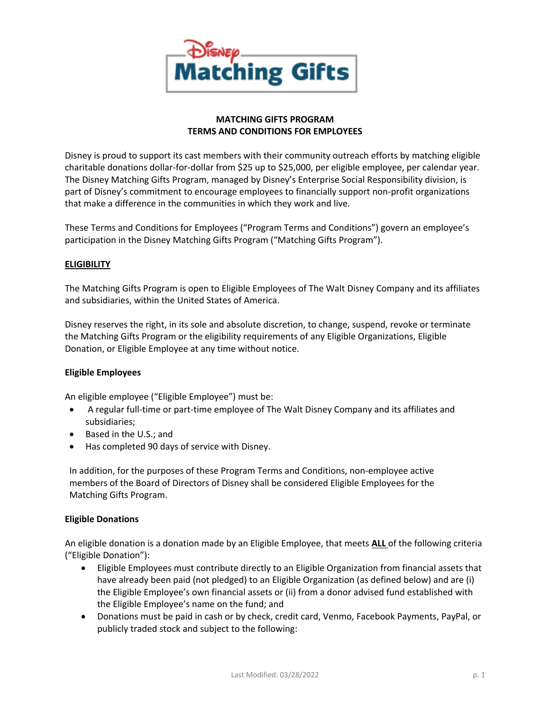

# **MATCHING GIFTS PROGRAM TERMS AND CONDITIONS FOR EMPLOYEES**

Disney is proud to support its cast members with their community outreach efforts by matching eligible charitable donations dollar-for-dollar from \$25 up to \$25,000, per eligible employee, per calendar year. The Disney Matching Gifts Program, managed by Disney's Enterprise Social Responsibility division, is part of Disney's commitment to encourage employees to financially support non-profit organizations that make a difference in the communities in which they work and live.

These Terms and Conditions for Employees ("Program Terms and Conditions") govern an employee's participation in the Disney Matching Gifts Program ("Matching Gifts Program").

# **ELIGIBILITY**

The Matching Gifts Program is open to Eligible Employees of The Walt Disney Company and its affiliates and subsidiaries, within the United States of America.

Disney reserves the right, in its sole and absolute discretion, to change, suspend, revoke or terminate the Matching Gifts Program or the eligibility requirements of any Eligible Organizations, Eligible Donation, or Eligible Employee at any time without notice.

### **Eligible Employees**

An eligible employee ("Eligible Employee") must be:

- A regular full-time or part-time employee of The Walt Disney Company and its affiliates and subsidiaries;
- Based in the U.S.; and
- Has completed 90 days of service with Disney.

In addition, for the purposes of these Program Terms and Conditions, non-employee active members of the Board of Directors of Disney shall be considered Eligible Employees for the Matching Gifts Program.

### **Eligible Donations**

An eligible donation is a donation made by an Eligible Employee, that meets **ALL** of the following criteria ("Eligible Donation"):

- Eligible Employees must contribute directly to an Eligible Organization from financial assets that have already been paid (not pledged) to an Eligible Organization (as defined below) and are (i) the Eligible Employee's own financial assets or (ii) from a donor advised fund established with the Eligible Employee's name on the fund; and
- Donations must be paid in cash or by check, credit card, Venmo, Facebook Payments, PayPal, or publicly traded stock and subject to the following: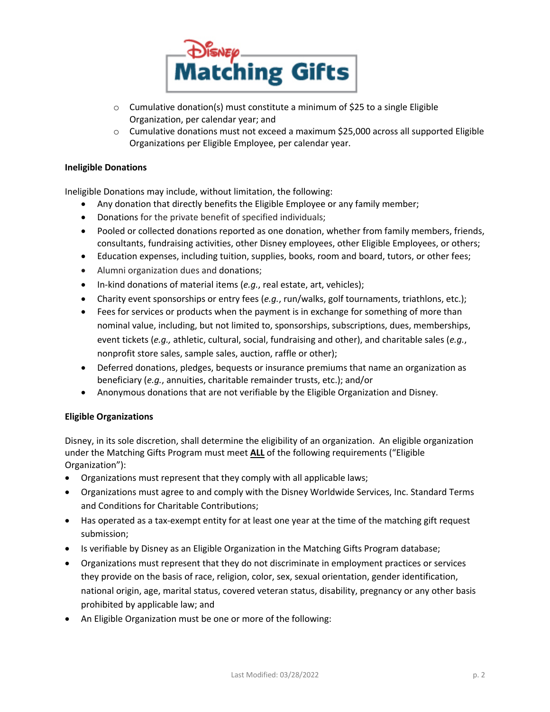

- $\circ$  Cumulative donation(s) must constitute a minimum of \$25 to a single Eligible Organization, per calendar year; and
- $\circ$  Cumulative donations must not exceed a maximum \$25,000 across all supported Eligible Organizations per Eligible Employee, per calendar year.

#### **Ineligible Donations**

Ineligible Donations may include, without limitation, the following:

- Any donation that directly benefits the Eligible Employee or any family member;
- Donations for the private benefit of specified individuals;
- Pooled or collected donations reported as one donation, whether from family members, friends, consultants, fundraising activities, other Disney employees, other Eligible Employees, or others;
- Education expenses, including tuition, supplies, books, room and board, tutors, or other fees;
- Alumni organization dues and donations;
- In-kind donations of material items (*e.g.*, real estate, art, vehicles);
- Charity event sponsorships or entry fees (*e.g.*, run/walks, golf tournaments, triathlons, etc.);
- Fees for services or products when the payment is in exchange for something of more than nominal value, including, but not limited to, sponsorships, subscriptions, dues, memberships, event tickets (*e.g.,* athletic, cultural, social, fundraising and other), and charitable sales (*e.g.*, nonprofit store sales, sample sales, auction, raffle or other);
- Deferred donations, pledges, bequests or insurance premiums that name an organization as beneficiary (*e.g.*, annuities, charitable remainder trusts, etc.); and/or
- Anonymous donations that are not verifiable by the Eligible Organization and Disney.

### **Eligible Organizations**

Disney, in its sole discretion, shall determine the eligibility of an organization. An eligible organization under the Matching Gifts Program must meet **ALL** of the following requirements ("Eligible Organization"):

- Organizations must represent that they comply with all applicable laws;
- Organizations must agree to and comply with the Disney Worldwide Services, Inc. Standard Terms and Conditions for Charitable Contributions;
- Has operated as a tax-exempt entity for at least one year at the time of the matching gift request submission;
- Is verifiable by Disney as an Eligible Organization in the Matching Gifts Program database;
- Organizations must represent that they do not discriminate in employment practices or services they provide on the basis of race, religion, color, sex, sexual orientation, gender identification, national origin, age, marital status, covered veteran status, disability, pregnancy or any other basis prohibited by applicable law; and
- An Eligible Organization must be one or more of the following: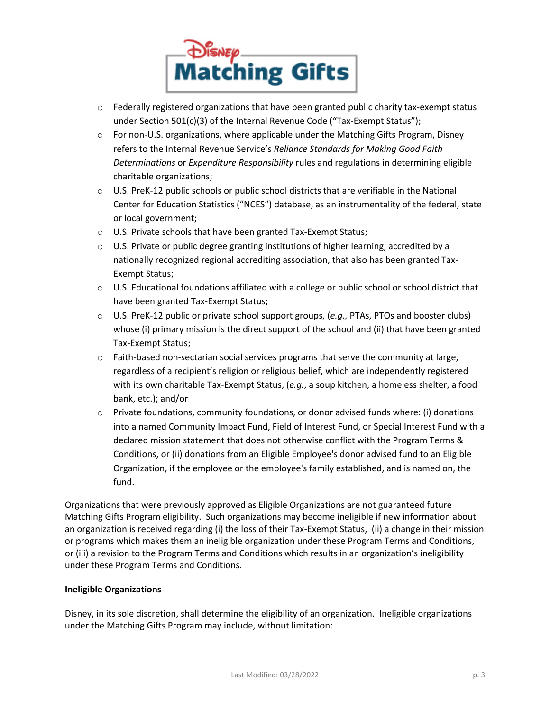

- $\circ$  Federally registered organizations that have been granted public charity tax-exempt status under Section 501(c)(3) of the Internal Revenue Code ("Tax-Exempt Status");
- $\circ$  For non-U.S. organizations, where applicable under the Matching Gifts Program, Disney refers to the Internal Revenue Service's *Reliance Standards for Making Good Faith Determinations* or *Expenditure Responsibility* rules and regulations in determining eligible charitable organizations;
- o U.S. PreK-12 public schools or public school districts that are verifiable in the National Center for Education Statistics ("NCES") database, as an instrumentality of the federal, state or local government;
- o U.S. Private schools that have been granted Tax-Exempt Status;
- o U.S. Private or public degree granting institutions of higher learning, accredited by a nationally recognized regional accrediting association, that also has been granted Tax-Exempt Status;
- $\circ$  U.S. Educational foundations affiliated with a college or public school or school district that have been granted Tax-Exempt Status;
- o U.S. PreK-12 public or private school support groups, (*e.g.,* PTAs, PTOs and booster clubs) whose (i) primary mission is the direct support of the school and (ii) that have been granted Tax-Exempt Status;
- $\circ$  Faith-based non-sectarian social services programs that serve the community at large, regardless of a recipient's religion or religious belief, which are independently registered with its own charitable Tax-Exempt Status, (*e.g.*, a soup kitchen, a homeless shelter, a food bank, etc.); and/or
- $\circ$  Private foundations, community foundations, or donor advised funds where: (i) donations into a named Community Impact Fund, Field of Interest Fund, or Special Interest Fund with a declared mission statement that does not otherwise conflict with the Program Terms & Conditions, or (ii) donations from an Eligible Employee's donor advised fund to an Eligible Organization, if the employee or the employee's family established, and is named on, the fund.

Organizations that were previously approved as Eligible Organizations are not guaranteed future Matching Gifts Program eligibility. Such organizations may become ineligible if new information about an organization is received regarding (i) the loss of their Tax-Exempt Status, (ii) a change in their mission or programs which makes them an ineligible organization under these Program Terms and Conditions, or (iii) a revision to the Program Terms and Conditions which results in an organization's ineligibility under these Program Terms and Conditions.

### **Ineligible Organizations**

Disney, in its sole discretion, shall determine the eligibility of an organization. Ineligible organizations under the Matching Gifts Program may include, without limitation: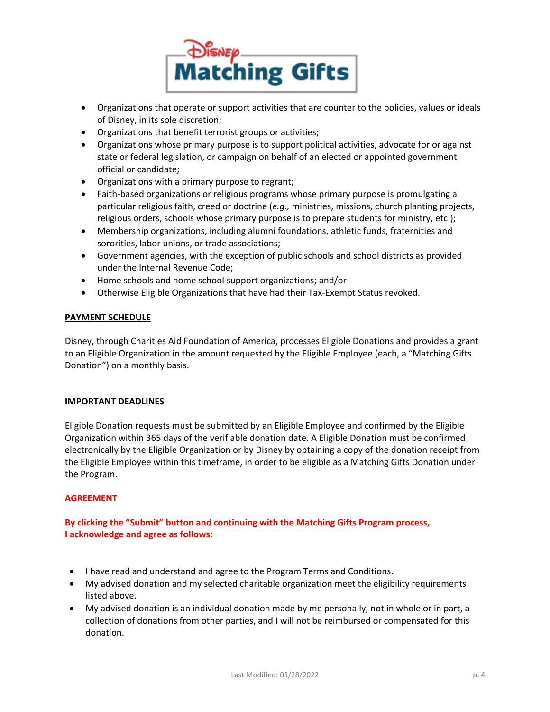

- Organizations that operate or support activities that are counter to the policies, values or ideals of Disney, in its sole discretion;
- Organizations that benefit terrorist groups or activities;
- Organizations whose primary purpose is to support political activities, advocate for or against state or federal legislation, or campaign on behalf of an elected or appointed government official or candidate;
- Organizations with a primary purpose to regrant;
- Faith-based organizations or religious programs whose primary purpose is promulgating a particular religious faith, creed or doctrine (*e.g.,* ministries, missions, church planting projects, religious orders, schools whose primary purpose is to prepare students for ministry, etc.);
- Membership organizations, including alumni foundations, athletic funds, fraternities and sororities, labor unions, or trade associations;
- Government agencies, with the exception of public schools and school districts as provided under the Internal Revenue Code;
- Home schools and home school support organizations; and/or
- Otherwise Eligible Organizations that have had their Tax-Exempt Status revoked.

### **PAYMENT SCHEDULE**

Disney, through Charities Aid Foundation of America, processes Eligible Donations and provides a grant to an Eligible Organization in the amount requested by the Eligible Employee (each, a "Matching Gifts Donation") on a monthly basis.

### **IMPORTANT DEADLINES**

Eligible Donation requests must be submitted by an Eligible Employee and confirmed by the Eligible Organization within 365 days of the verifiable donation date. A Eligible Donation must be confirmed electronically by the Eligible Organization or by Disney by obtaining a copy of the donation receipt from the Eligible Employee within this timeframe, in order to be eligible as a Matching Gifts Donation under the Program.

### **AGREEMENT**

**By clicking the "Submit" button and continuing with the Matching Gifts Program process, I acknowledge and agree as follows:**

- I have read and understand and agree to the Program Terms and Conditions.
- My advised donation and my selected charitable organization meet the eligibility requirements listed above.
- My advised donation is an individual donation made by me personally, not in whole or in part, a collection of donations from other parties, and I will not be reimbursed or compensated for this donation.